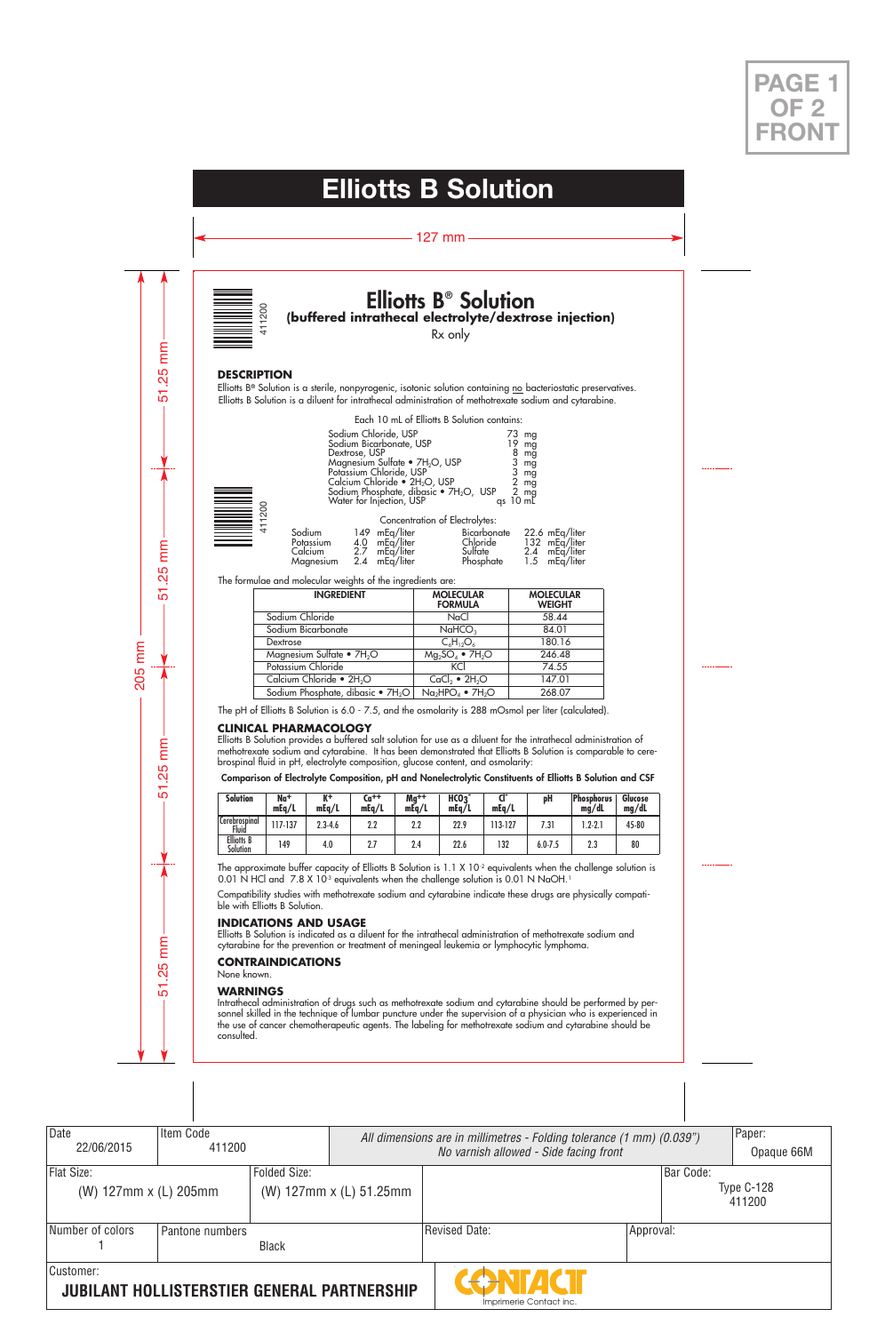# **Elliotts B® Solution (buffered intrathecal electrolyte/dextrose injection)**



# **DESCRIPTION**

| <b>Elliotts B<sup>®</sup> Solution</b><br>buffered intrathecal electrolyte/dextrose injec<br>Rx only                                                                                                                                                            |                                                 |                                                                                    |  |  |  |  |
|-----------------------------------------------------------------------------------------------------------------------------------------------------------------------------------------------------------------------------------------------------------------|-------------------------------------------------|------------------------------------------------------------------------------------|--|--|--|--|
|                                                                                                                                                                                                                                                                 |                                                 |                                                                                    |  |  |  |  |
|                                                                                                                                                                                                                                                                 |                                                 |                                                                                    |  |  |  |  |
| is a sterile, nonpyrogenic, isotonic solution containing no bacteriostatic p<br>s a diluent for intrathecal administration of methotrexate sodium and cyto                                                                                                      |                                                 |                                                                                    |  |  |  |  |
|                                                                                                                                                                                                                                                                 | Each 10 mL of Elliotts B Solution contains:     |                                                                                    |  |  |  |  |
| Sodium Chloride, USP<br>Sodium Bicarbonate, USP<br>Dextrose, USP<br>Magnesium Sultate • $7H_2O$ , USP<br>Potassium Chloride, USP<br>Calcium Chloride • 2H <sub>2</sub> O, USP<br>Sodium Phosphate, dibasic • 7H <sub>2</sub> O, USP<br>Water for Injection, USP |                                                 | mg<br>19 mg<br>8 mg<br>3<br>3<br>mg<br>mg<br>$\frac{2}{2}$<br>mg<br>mg<br>qs 10 mL |  |  |  |  |
|                                                                                                                                                                                                                                                                 | Concentration of Electrolytes:                  |                                                                                    |  |  |  |  |
| Sodium<br>mEq/liter<br>149.<br>Potassium<br>4.0<br>mEq/liter<br>2.7<br>mEq/liter<br>Calcium<br>2.4<br>Magnesium<br>mEq/liter                                                                                                                                    | Bicarbonate<br>Chloride<br>Sultate<br>Phosphate | 22.6 mEq/liter<br>132 mEq/liter<br>mEq/liter<br>2.4<br>1.5<br>mEg/liter            |  |  |  |  |
| molecular weights of the ingredients are:                                                                                                                                                                                                                       |                                                 |                                                                                    |  |  |  |  |
| <b>INGREDIENT</b>                                                                                                                                                                                                                                               | <b>MOLECULAR</b><br>FORMULA                     | <b>MOLECULAR</b><br><b>WEIGHT</b>                                                  |  |  |  |  |
| n Chloride                                                                                                                                                                                                                                                      | NaCl                                            | 58.44                                                                              |  |  |  |  |
| n Bicarbonate                                                                                                                                                                                                                                                   | NaHCO <sub>3</sub>                              | 84.01                                                                              |  |  |  |  |
| se                                                                                                                                                                                                                                                              | $C_6H_{12}O_6$<br>$Mg_2SO_4$ • $7H_2O$          | 180.16                                                                             |  |  |  |  |
|                                                                                                                                                                                                                                                                 |                                                 | 246.48                                                                             |  |  |  |  |
| esium Sulfate • 7H <sub>2</sub> O<br>ium Chloride                                                                                                                                                                                                               | KCl                                             | 74.55                                                                              |  |  |  |  |



| Sodium    | 149 mEa/liter | Bicarbonate | 22.6 mEa/liter |
|-----------|---------------|-------------|----------------|
| Potassium | 4.0 mEa/liter | Chloride    | 132 mEg/liter  |
| Calcium   | 2.7 mEa/liter | Sulfate     | 2.4 mEa/liter  |
| Maanesium | 2.4 mEg/liter | Phosphate   | 1.5 mEa/liter  |

| 411200                          |                    |                                             |                                                                                                                                                                                                                            |                  | <b>Elliotts B<sup>®</sup> Solution</b>                                           |                  | (buffered intrathecal electrolyte/dextrose injection)                                                                                                                                                                                                                                                                                      |                     |                |
|---------------------------------|--------------------|---------------------------------------------|----------------------------------------------------------------------------------------------------------------------------------------------------------------------------------------------------------------------------|------------------|----------------------------------------------------------------------------------|------------------|--------------------------------------------------------------------------------------------------------------------------------------------------------------------------------------------------------------------------------------------------------------------------------------------------------------------------------------------|---------------------|----------------|
|                                 |                    |                                             |                                                                                                                                                                                                                            |                  | Rx only                                                                          |                  |                                                                                                                                                                                                                                                                                                                                            |                     |                |
|                                 |                    |                                             |                                                                                                                                                                                                                            |                  |                                                                                  |                  |                                                                                                                                                                                                                                                                                                                                            |                     |                |
| DESCRIPTION                     |                    |                                             |                                                                                                                                                                                                                            |                  |                                                                                  |                  |                                                                                                                                                                                                                                                                                                                                            |                     |                |
|                                 |                    |                                             |                                                                                                                                                                                                                            |                  |                                                                                  |                  | Elliotts B® Solution is a sterile, nonpyrogenic, isotonic solution containing no bacteriostatic preservatives.<br>Elliotts B Solution is a diluent for intrathecal administration of methotrexate sodium and cytarabine.                                                                                                                   |                     |                |
|                                 |                    |                                             |                                                                                                                                                                                                                            |                  | Each 10 mL of Elliotts B Solution contains:                                      |                  |                                                                                                                                                                                                                                                                                                                                            |                     |                |
|                                 |                    |                                             | Sodium Chloride, USP<br>Sodium Bicarbonate, USP<br>Dextrose, USP<br>Magnesium Sulfate • 7H <sub>2</sub> O, USP<br>Potassium Chloride, USP<br>Calcium Chloride • 2H <sub>2</sub> O, US <u>P</u><br>Water for Injection, USP |                  | Sodium Phosphate, dibasic • 7H <sub>2</sub> O, USP                               | qs 10 mL         | 73 mg<br>19 mg<br>$8 \, \text{mg}$<br>$3 \text{ mg}$<br>$3 \,$ mg<br>$2 \, \text{mg}$<br>$\overline{2}$ mg                                                                                                                                                                                                                                 |                     |                |
| 411200                          |                    |                                             |                                                                                                                                                                                                                            |                  | Concentration of Electrolytes:                                                   |                  |                                                                                                                                                                                                                                                                                                                                            |                     |                |
|                                 |                    | Sodium<br>Potassium<br>Calcium<br>Magnesium | 149 mEq/liter<br>mEq/liter<br>4.0<br>2.7<br>mEq/liter<br>2.4<br>mEg/liter                                                                                                                                                  |                  | Chloride<br>Sulfate<br>Phosphate                                                 | Bicarbonate      | 22.6 mEg/liter<br>132 mEq/liter<br>2.4 mEq/liter<br>1.5<br>mEq/liter                                                                                                                                                                                                                                                                       |                     |                |
|                                 |                    |                                             | The formulae and molecular weights of the ingredients are:                                                                                                                                                                 |                  |                                                                                  |                  |                                                                                                                                                                                                                                                                                                                                            |                     |                |
|                                 | <b>INGREDIENT</b>  |                                             |                                                                                                                                                                                                                            |                  | <b>MOLECULAR</b><br><b>MOLECULAR</b><br><b>FORMULA</b><br><b>WEIGHT</b>          |                  |                                                                                                                                                                                                                                                                                                                                            |                     |                |
|                                 | Sodium Chloride    |                                             |                                                                                                                                                                                                                            |                  | NaCl                                                                             |                  |                                                                                                                                                                                                                                                                                                                                            |                     |                |
|                                 |                    | Sodium Bicarbonate                          |                                                                                                                                                                                                                            |                  | NaHCO <sub>3</sub>                                                               |                  | 84.01                                                                                                                                                                                                                                                                                                                                      |                     |                |
|                                 | Dextrose           | Magnesium Sulfate • 7H <sub>2</sub> O       |                                                                                                                                                                                                                            |                  | $C_6H_{12}O_6$                                                                   |                  | 180.16<br>246.48                                                                                                                                                                                                                                                                                                                           |                     |                |
|                                 |                    |                                             |                                                                                                                                                                                                                            |                  | $Mg_2SO_4$ • $7H_2O$<br>KCI<br>74.55                                             |                  |                                                                                                                                                                                                                                                                                                                                            |                     |                |
|                                 | Potassium Chloride |                                             |                                                                                                                                                                                                                            |                  | $CaCl2$ • 2H <sub>2</sub> O                                                      |                  | 147.01                                                                                                                                                                                                                                                                                                                                     |                     |                |
|                                 |                    |                                             |                                                                                                                                                                                                                            |                  |                                                                                  |                  |                                                                                                                                                                                                                                                                                                                                            |                     |                |
|                                 |                    | Calcium Chloride • 2H <sub>2</sub> O        |                                                                                                                                                                                                                            |                  |                                                                                  |                  |                                                                                                                                                                                                                                                                                                                                            |                     |                |
|                                 |                    |                                             | Sodium Phosphate, dibasic • 7H <sub>2</sub> O                                                                                                                                                                              |                  | $Na2HPO4 • 7H2O$                                                                 |                  | 268.07                                                                                                                                                                                                                                                                                                                                     |                     |                |
|                                 |                    |                                             |                                                                                                                                                                                                                            |                  |                                                                                  |                  | The pH of Elliotts B Solution is 6.0 - 7.5, and the osmolarity is 288 mOsmol per liter (calculated).                                                                                                                                                                                                                                       |                     |                |
|                                 |                    | CLINICAL PHARMACOLOGY                       |                                                                                                                                                                                                                            |                  | prospinal fluid in pH, electrolyte composition, glucose content, and osmolarity: |                  | Elliotts B Solution provides a buffered salt solution for use as a diluent for the intrathecal administration of<br>nethotrexate sodium and cytarabine. It has been demonstrated that Elliotts B Solution is comparable to ceı<br>Comparison of Electrolyte Composition, pH and Nonelectrolytic Constituents of Elliotts B Solution and CS |                     |                |
| Solution                        | Na+                | K+<br>mEq/L                                 | Ca <sup>++</sup>                                                                                                                                                                                                           | $Mg^{++}$        | HCO <sub>3</sub>                                                                 | ď                | pН                                                                                                                                                                                                                                                                                                                                         | Phosphorus<br>mg/dL | Glucose        |
|                                 | mEq/L<br>117-137   | $2.3 - 4.6$                                 | mEq/L<br>$2.2\,$                                                                                                                                                                                                           | mEq/L<br>$2.2\,$ | mEq/L<br>22.9                                                                    | mEq/L<br>113-127 | 7.31                                                                                                                                                                                                                                                                                                                                       | $1.2 - 2.1$         | mg/dL<br>45-80 |
| Fluid<br>Elliotts B<br>Solution | 149                | 4.0                                         | 2.7                                                                                                                                                                                                                        | 2.4              | 22.6                                                                             | 132              | $6.0 - 7.5$                                                                                                                                                                                                                                                                                                                                | 2.3                 | 80             |
| Cerebrospinal                   |                    |                                             |                                                                                                                                                                                                                            |                  |                                                                                  |                  | The approximate buffer capacity of Elliotts B Solution is 1.1 X 10 <sup>-2</sup> equivalents when the challenge solution<br>0.01 N HCl and 7.8 X 10 <sup>3</sup> equivalents when the challenge solution is 0.01 N NaOH. <sup>1</sup>                                                                                                      |                     |                |
| ble with Elliotts B Solution.   |                    |                                             |                                                                                                                                                                                                                            |                  |                                                                                  |                  | Compatibility studies with methotrexate sodium and cytarabine indicate these drugs are physically compati                                                                                                                                                                                                                                  |                     |                |

# **CLINICAL PHARMACOLOGY**

| <b>Solution</b>                            | Na <sup>+</sup><br>mEq/L | Кt<br>mEa/L | Ca++<br>mEa/L | $Ma^{++}$<br>mEa/L | HCO <sub>3</sub><br>mEq/L | mEq/L   | pH          | <b>Phosphorus</b><br>mg/dL | Glucose<br>mg/dL |
|--------------------------------------------|--------------------------|-------------|---------------|--------------------|---------------------------|---------|-------------|----------------------------|------------------|
| $\overline{ }$<br>l Cerebrospinal<br>Fluid | $17 - 137$               | $2.3 - 4.6$ | 2.2           | 2.2                | 22.9                      | 113-127 | 7.31        | $1.2 - 2.1$                | 45-80            |
| <b>Elliotts B</b><br>Solution              | 149                      | 4.0         | 2.7           | 2.4                | 22.6                      | 132     | $6.0 - 7.5$ | 2.3                        | 80               |

# **INDICATIONS AND USAGE**

Elliotts B Solution is indicated as a diluent for the intrathecal administration of methotrexate sodium and cytarabine for the prevention or treatment of meningeal leukemia or lymphocytic lymphoma.

# **CONTRAINDICATIONS**

None known.

# **WARNINGS**

Intrathecal administration ot drugs such as methotrexate sodium and cytarabine should be pertormed by per-<br>sonnel skilled in the technique of lumbar puncture under the supervision of a physician who is experienced in<br>the u consulted.